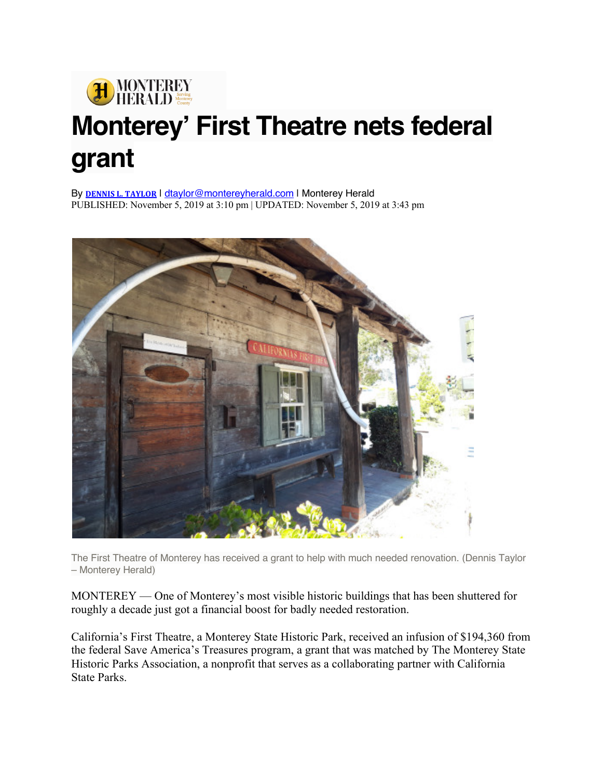

## **Monterey' First Theatre nets federal grant**

By **DENNIS L. TAYLOR** | dtaylor@montereyherald.com | Monterey Herald PUBLISHED: November 5, 2019 at 3:10 pm | UPDATED: November 5, 2019 at 3:43 pm



The First Theatre of Monterey has received a grant to help with much needed renovation. (Dennis Taylor – Monterey Herald)

MONTEREY — One of Monterey's most visible historic buildings that has been shuttered for roughly a decade just got a financial boost for badly needed restoration.

California's First Theatre, a Monterey State Historic Park, received an infusion of \$194,360 from the federal Save America's Treasures program, a grant that was matched by The Monterey State Historic Parks Association, a nonprofit that serves as a collaborating partner with California State Parks.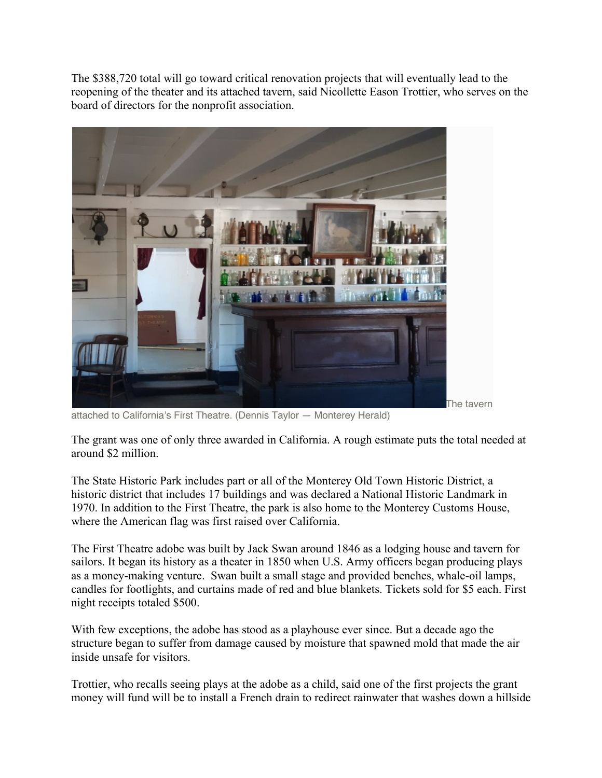The \$388,720 total will go toward critical renovation projects that will eventually lead to the reopening of the theater and its attached tavern, said Nicollette Eason Trottier, who serves on the board of directors for the nonprofit association.



attached to California's First Theatre. (Dennis Taylor — Monterey Herald)

The grant was one of only three awarded in California. A rough estimate puts the total needed at around \$2 million.

The State Historic Park includes part or all of the Monterey Old Town Historic District, a historic district that includes 17 buildings and was declared a National Historic Landmark in 1970. In addition to the First Theatre, the park is also home to the Monterey Customs House, where the American flag was first raised over California.

The First Theatre adobe was built by Jack Swan around 1846 as a lodging house and tavern for sailors. It began its history as a theater in 1850 when U.S. Army officers began producing plays as a money-making venture. Swan built a small stage and provided benches, whale-oil lamps, candles for footlights, and curtains made of red and blue blankets. Tickets sold for \$5 each. First night receipts totaled \$500.

With few exceptions, the adobe has stood as a playhouse ever since. But a decade ago the structure began to suffer from damage caused by moisture that spawned mold that made the air inside unsafe for visitors.

Trottier, who recalls seeing plays at the adobe as a child, said one of the first projects the grant money will fund will be to install a French drain to redirect rainwater that washes down a hillside